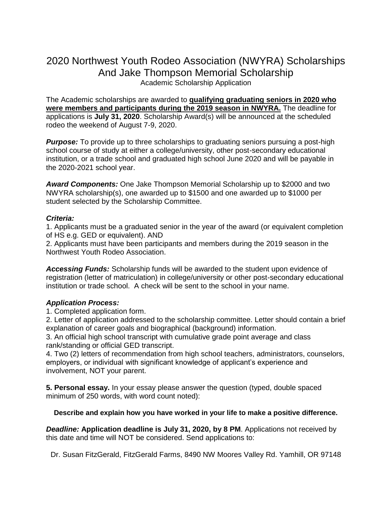# 2020 Northwest Youth Rodeo Association (NWYRA) Scholarships And Jake Thompson Memorial Scholarship Academic Scholarship Application

The Academic scholarships are awarded to **qualifying graduating seniors in 2020 who were members and participants during the 2019 season in NWYRA.** The deadline for applications is **July 31, 2020**. Scholarship Award(s) will be announced at the scheduled rodeo the weekend of August 7-9, 2020.

**Purpose:** To provide up to three scholarships to graduating seniors pursuing a post-high school course of study at either a college/university, other post-secondary educational institution, or a trade school and graduated high school June 2020 and will be payable in the 2020-2021 school year.

*Award Components:* One Jake Thompson Memorial Scholarship up to \$2000 and two NWYRA scholarship(s), one awarded up to \$1500 and one awarded up to \$1000 per student selected by the Scholarship Committee.

### *Criteria:*

1. Applicants must be a graduated senior in the year of the award (or equivalent completion of HS e.g. GED or equivalent). AND

2. Applicants must have been participants and members during the 2019 season in the Northwest Youth Rodeo Association.

*Accessing Funds:* Scholarship funds will be awarded to the student upon evidence of registration (letter of matriculation) in college/university or other post-secondary educational institution or trade school. A check will be sent to the school in your name.

## *Application Process:*

1. Completed application form.

2. Letter of application addressed to the scholarship committee. Letter should contain a brief explanation of career goals and biographical (background) information.

3. An official high school transcript with cumulative grade point average and class rank/standing or official GED transcript.

4. Two (2) letters of recommendation from high school teachers, administrators, counselors, employers, or individual with significant knowledge of applicant's experience and involvement, NOT your parent.

**5. Personal essay.** In your essay please answer the question (typed, double spaced minimum of 250 words, with word count noted):

### **Describe and explain how you have worked in your life to make a positive difference.**

*Deadline:* **Application deadline is July 31, 2020, by 8 PM**. Applications not received by this date and time will NOT be considered. Send applications to:

Dr. Susan FitzGerald, FitzGerald Farms, 8490 NW Moores Valley Rd. Yamhill, OR 97148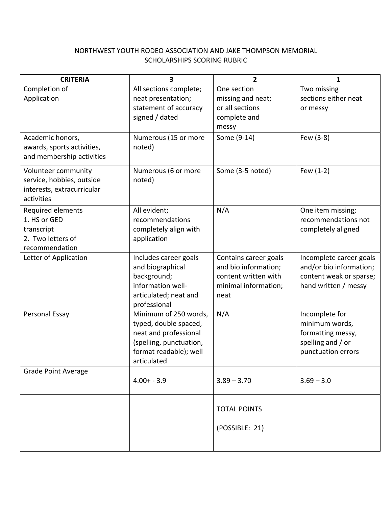## NORTHWEST YOUTH RODEO ASSOCIATION AND JAKE THOMPSON MEMORIAL SCHOLARSHIPS SCORING RUBRIC

| <b>CRITERIA</b>                 | 3                                                | $\overline{2}$        | $\mathbf{1}$                           |
|---------------------------------|--------------------------------------------------|-----------------------|----------------------------------------|
| Completion of                   | All sections complete;                           | One section           | Two missing                            |
| Application                     | neat presentation;                               | missing and neat;     | sections either neat                   |
|                                 | statement of accuracy                            | or all sections       | or messy                               |
|                                 | signed / dated                                   | complete and<br>messy |                                        |
| Academic honors,                | Numerous (15 or more                             | Some (9-14)           | Few (3-8)                              |
| awards, sports activities,      | noted)                                           |                       |                                        |
| and membership activities       |                                                  |                       |                                        |
| Volunteer community             | Numerous (6 or more                              | Some (3-5 noted)      | Few (1-2)                              |
| service, hobbies, outside       | noted)                                           |                       |                                        |
| interests, extracurricular      |                                                  |                       |                                        |
| activities                      |                                                  |                       |                                        |
| Required elements               | All evident;                                     | N/A                   | One item missing;                      |
| 1. HS or GED                    | recommendations                                  |                       | recommendations not                    |
| transcript<br>2. Two letters of | completely align with<br>application             |                       | completely aligned                     |
| recommendation                  |                                                  |                       |                                        |
| Letter of Application           | Includes career goals                            | Contains career goals | Incomplete career goals                |
|                                 | and biographical                                 | and bio information;  | and/or bio information;                |
|                                 | background;                                      | content written with  | content weak or sparse;                |
|                                 | information well-                                | minimal information;  | hand written / messy                   |
|                                 | articulated; neat and                            | neat                  |                                        |
|                                 | professional                                     |                       |                                        |
| Personal Essay                  | Minimum of 250 words,                            | N/A                   | Incomplete for                         |
|                                 | typed, double spaced,                            |                       | minimum words,                         |
|                                 | neat and professional<br>(spelling, punctuation, |                       | formatting messy,<br>spelling and / or |
|                                 | format readable); well                           |                       | punctuation errors                     |
|                                 | articulated                                      |                       |                                        |
| <b>Grade Point Average</b>      |                                                  |                       |                                        |
|                                 | $4.00 + -3.9$                                    | $3.89 - 3.70$         | $3.69 - 3.0$                           |
|                                 |                                                  |                       |                                        |
|                                 |                                                  | <b>TOTAL POINTS</b>   |                                        |
|                                 |                                                  |                       |                                        |
|                                 |                                                  | (POSSIBLE: 21)        |                                        |
|                                 |                                                  |                       |                                        |